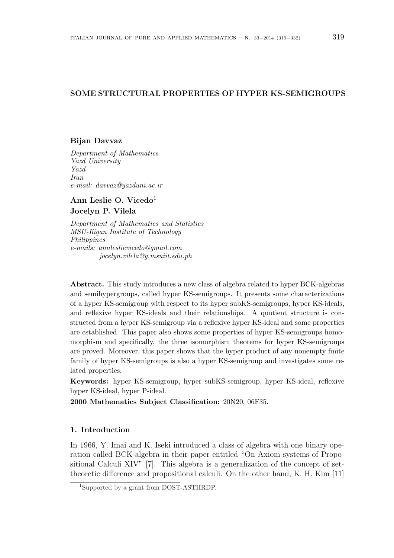# SOME STRUCTURAL PROPERTIES OF HYPER KS-SEMIGROUPS

### Bijan Davvaz

Department of Mathematics Yazd University Yazd Iran e-mail: davvaz@yazduni.ac.ir

Ann Leslie O. Vicedo<sup>1</sup> Jocelyn P. Vilela

Department of Mathematics and Statistics MSU-Iligan Institute of Technology Philippines e-mails: annleslievicedo@gmail.com jocelyn.vilela@g.msuiit.edu.ph

Abstract. This study introduces a new class of algebra related to hyper BCK-algebras and semihypergroups, called hyper KS-semigroups. It presents some characterizations of a hyper KS-semigroup with respect to its hyper subKS-semigroups, hyper KS-ideals, and reflexive hyper KS-ideals and their relationships. A quotient structure is constructed from a hyper KS-semigroup via a reflexive hyper KS-ideal and some properties are established. This paper also shows some properties of hyper KS-semigroups homomorphism and specifically, the three isomorphism theorems for hyper KS-semigroups are proved. Moreover, this paper shows that the hyper product of any nonempty finite family of hyper KS-semigroups is also a hyper KS-semigroup and investigates some related properties.

Keywords: hyper KS-semigroup, hyper subKS-semigroup, hyper KS-ideal, reflexive hyper KS-ideal, hyper P-ideal.

2000 Mathematics Subject Classification: 20N20, 06F35.

## 1. Introduction

In 1966, Y. Imai and K. Iseki introduced a class of algebra with one binary operation called BCK-algebra in their paper entitled "On Axiom systems of Propositional Calculi XIV" [7]. This algebra is a generalization of the concept of settheoretic difference and propositional calculi. On the other hand, K. H. Kim [11]

<sup>1</sup>Supported by a grant from DOST-ASTHRDP.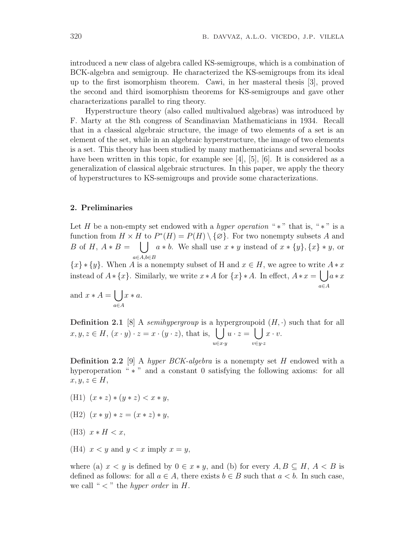introduced a new class of algebra called KS-semigroups, which is a combination of BCK-algebra and semigroup. He characterized the KS-semigroups from its ideal up to the first isomorphism theorem. Cawi, in her masteral thesis [3], proved the second and third isomorphism theorems for KS-semigroups and gave other characterizations parallel to ring theory.

Hyperstructure theory (also called multivalued algebras) was introduced by F. Marty at the 8th congress of Scandinavian Mathematicians in 1934. Recall that in a classical algebraic structure, the image of two elements of a set is an element of the set, while in an algebraic hyperstructure, the image of two elements is a set. This theory has been studied by many mathematicians and several books have been written in this topic, for example see [4], [5], [6]. It is considered as a generalization of classical algebraic structures. In this paper, we apply the theory of hyperstructures to KS-semigroups and provide some characterizations.

#### 2. Preliminaries

Let H be a non-empty set endowed with a *hyper operation* " $*$ " that is, " $*$ " is a function from  $H \times H$  to  $P^*(H) = P(H) \setminus {\emptyset}$ . For two nonempty subsets A and B of H,  $A * B =$ a∈A,b∈B  $a * b$ . We shall use  $x * y$  instead of  $x * \{y\}, \{x\} * y$ , or

 ${x} \ast \{y\}$ . When A is a nonempty subset of H and  $x \in H$ , we agree to write  $A * x$ instead of  $A * \{x\}$ . Similarly, we write  $x * A$  for  $\{x\} * A$ . In effect,  $A * x = \begin{pmatrix} a * x \\ a \end{pmatrix}$ a∈A  $\overline{\phantom{a}}$ 

and 
$$
x * A = \bigcup_{a \in A} x * a
$$
.

**Definition 2.1** [8] A *semihypergroup* is a hypergroupoid  $(H, \cdot)$  such that for all  $x, y, z \in H$ ,  $(x \cdot y) \cdot z = x \cdot (y \cdot z)$ , that is,  $\left| \int u \cdot z = \int x \cdot v$ . u∈x·y  $u \cdot z =$  $\frac{1}{\sqrt{2}}$ v∈y·z  $x \cdot v$ .

**Definition 2.2** [9] A hyper BCK-algebra is a nonempty set H endowed with a hyperoperation " <sup>\*</sup> " and a constant 0 satisfying the following axioms: for all  $x, y, z \in H$ ,

- (H1)  $(x * z) * (y * z) < x * y$ ,
- (H2)  $(x * y) * z = (x * z) * y$ ,
- (H3)  $x * H < x$ .
- (H4)  $x < y$  and  $y < x$  imply  $x = y$ ,

where (a)  $x < y$  is defined by  $0 \in x * y$ , and (b) for every  $A, B \subseteq H, A < B$  is defined as follows: for all  $a \in A$ , there exists  $b \in B$  such that  $a < b$ . In such case, we call " $\lt$ " the *hyper order* in H.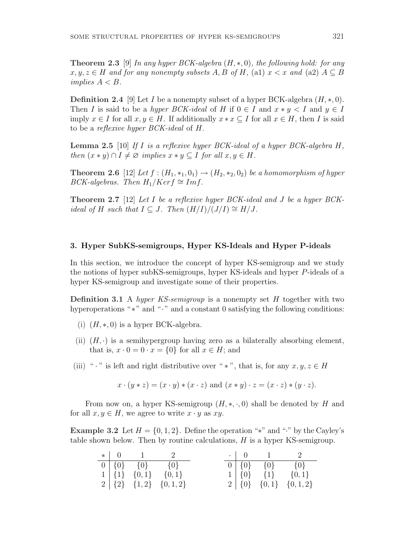**Theorem 2.3** [9] In any hyper BCK-algebra  $(H, *, 0)$ , the following hold: for any  $x, y, z \in H$  and for any nonempty subsets A, B of H, (a1)  $x < x$  and (a2)  $A \subseteq B$ implies  $A < B$ .

**Definition 2.4** [9] Let I be a nonempty subset of a hyper BCK-algebra  $(H, *, 0)$ . Then I is said to be a hyper BCK-ideal of H if  $0 \in I$  and  $x * y < I$  and  $y \in I$ imply  $x \in I$  for all  $x, y \in H$ . If additionally  $x * x \subseteq I$  for all  $x \in H$ , then I is said to be a reflexive hyper BCK-ideal of H.

**Lemma 2.5** [10] If I is a reflexive hyper BCK-ideal of a hyper BCK-algebra  $H$ , then  $(x * y) \cap I \neq \emptyset$  implies  $x * y \subseteq I$  for all  $x, y \in H$ .

**Theorem 2.6** [12] Let  $f : (H_1, *_1, 0_1) \rightarrow (H_2, *_2, 0_2)$  be a homomorphism of hyper BCK-algebras. Then  $H_1/Ker f \cong Imf$ .

Theorem 2.7 [12] Let I be a reflexive hyper BCK-ideal and J be a hyper BCK*ideal of H such that*  $I \subseteq J$ . Then  $(H/I)/(J/I) \cong H/J$ .

#### 3. Hyper SubKS-semigroups, Hyper KS-Ideals and Hyper P-ideals

In this section, we introduce the concept of hyper KS-semigroup and we study the notions of hyper subKS-semigroups, hyper KS-ideals and hyper P-ideals of a hyper KS-semigroup and investigate some of their properties.

**Definition 3.1** A hyper KS-semigroup is a nonempty set  $H$  together with two hyperoperations "∗" and "·" and a constant 0 satisfying the following conditions:

- (i)  $(H, *, 0)$  is a hyper BCK-algebra.
- (ii)  $(H, \cdot)$  is a semihypergroup having zero as a bilaterally absorbing element, that is,  $x \cdot 0 = 0 \cdot x = \{0\}$  for all  $x \in H$ ; and
- (iii) " · " is left and right distributive over " \* ", that is, for any  $x, y, z \in H$

$$
x \cdot (y * z) = (x \cdot y) * (x \cdot z) \text{ and } (x * y) \cdot z = (x \cdot z) * (y \cdot z).
$$

From now on, a hyper KS-semigroup  $(H, *, \cdot, 0)$  shall be denoted by H and for all  $x, y \in H$ , we agree to write  $x \cdot y$  as  $xy$ .

Example 3.2 Let  $H = \{0, 1, 2\}$ . Define the operation "\*" and "·" by the Cayley's table shown below. Then by routine calculations,  $H$  is a hyper KS-semigroup.

|  | $*$ 0 1 2                   |                             |  | $\cdot$   0   1   2 |                               |
|--|-----------------------------|-----------------------------|--|---------------------|-------------------------------|
|  | $0   \{0\}$ $\{0\}$ $\{0\}$ |                             |  |                     |                               |
|  |                             | $1   \{1\} \{0,1\} \{0,1\}$ |  |                     | $1   \{0\}$ $\{1\}$ $\{0,1\}$ |
|  |                             | $2   {2} {1,2}   {0,1,2}$   |  |                     | $2   \{0\} \{0,1\} \{0,1,2\}$ |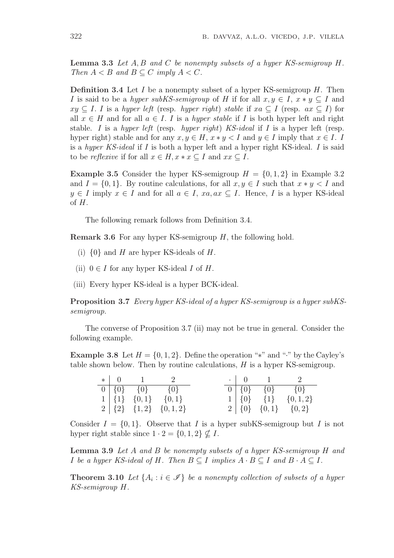**Lemma 3.3** Let  $A, B$  and  $C$  be nonempty subsets of a hyper KS-semigroup  $H$ . Then  $A < B$  and  $B \subset C$  imply  $A < C$ .

**Definition 3.4** Let I be a nonempty subset of a hyper KS-semigroup  $H$ . Then I is said to be a hyper subKS-semigroup of H if for all  $x, y \in I$ ,  $x * y \subset I$  and  $xy \subseteq I$ . I is a hyper left (resp. hyper right) stable if  $xa \subseteq I$  (resp.  $ax \subseteq I$ ) for all  $x \in H$  and for all  $a \in I$ . I is a *hyper stable* if I is both hyper left and right stable. I is a hyper left (resp. hyper right) KS-ideal if I is a hyper left (resp. hyper right) stable and for any  $x, y \in H$ ,  $x * y < I$  and  $y \in I$  imply that  $x \in I$ . I is a hyper KS-ideal if I is both a hyper left and a hyper right KS-ideal. I is said to be *reflexive* if for all  $x \in H$ ,  $x * x \subseteq I$  and  $xx \subseteq I$ .

**Example 3.5** Consider the hyper KS-semigroup  $H = \{0, 1, 2\}$  in Example 3.2 and  $I = \{0, 1\}$ . By routine calculations, for all  $x, y \in I$  such that  $x * y < I$  and  $y \in I$  imply  $x \in I$  and for all  $a \in I$ ,  $xa, ax \subseteq I$ . Hence, I is a hyper KS-ideal of H.

The following remark follows from Definition 3.4.

Remark 3.6 For any hyper KS-semigroup H, the following hold.

- (i)  $\{0\}$  and H are hyper KS-ideals of H.
- (ii)  $0 \in I$  for any hyper KS-ideal I of H.
- (iii) Every hyper KS-ideal is a hyper BCK-ideal.

Proposition 3.7 Every hyper KS-ideal of a hyper KS-semigroup is a hyper subKSsemigroup.

The converse of Proposition 3.7 (ii) may not be true in general. Consider the following example.

Example 3.8 Let  $H = \{0, 1, 2\}$ . Define the operation "\*" and "·" by the Cayley's table shown below. Then by routine calculations, H is a hyper KS-semigroup.

|  | $*$ 0 1 2                   |                             |  | $\cdot$   0   1   2         |                                 |
|--|-----------------------------|-----------------------------|--|-----------------------------|---------------------------------|
|  | $0   \{0\}$ $\{0\}$ $\{0\}$ |                             |  | $0   \{0\}$ $\{0\}$ $\{0\}$ |                                 |
|  |                             | $1   \{1\} \{0,1\} \{0,1\}$ |  |                             | $1   \{0\}$ $\{1\}$ $\{0,1,2\}$ |
|  |                             | $2   {2} \{1,2\} \{0,1,2\}$ |  |                             | $2   \{0\} \{0,1\} \{0,2\}$     |

Consider  $I = \{0, 1\}$ . Observe that I is a hyper subKS-semigroup but I is not hyper right stable since  $1 \cdot 2 = \{0, 1, 2\} \nsubseteq I$ .

Lemma 3.9 Let A and B be nonempty subsets of a hyper KS-semigroup H and I be a hyper KS-ideal of H. Then  $B \subseteq I$  implies  $A \cdot B \subseteq I$  and  $B \cdot A \subseteq I$ .

**Theorem 3.10** Let  $\{A_i : i \in \mathcal{I}\}\$ be a nonempty collection of subsets of a hyper KS-semigroup H.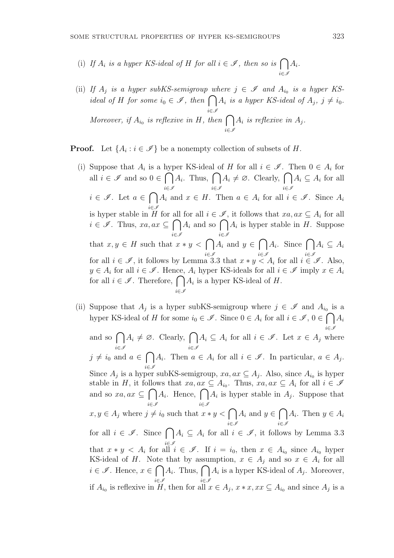- (i) If  $A_i$  is a hyper KS-ideal of H for all  $i \in \mathscr{I}$ , then so is  $\bigcap$ i∈I  $A_i$ .
- (ii) If  $A_j$  is a hyper subKS-semigroup where  $j \in \mathscr{I}$  and  $A_{i_0}$  is a hyper KSif  $A_j$  is a hyper-subKS-semigroup with<br>ideal of H for some  $i_0 \in \mathscr{I}$ , then  $\bigcap$ i∈I  $A_i$  is a hyper KS-ideal of  $A_j$ ,  $j \neq i_0$ . Moreover, if  $A_{i_0}$  is reflexive in H, then  $\bigcap$ i∈I  $A_i$  is reflexive in  $A_j$ .

**Proof.** Let  $\{A_i : i \in \mathcal{I}\}\$ be a nonempty collection of subsets of H.

- (i) Suppose that  $A_i$  is a hyper KS-ideal of H for all  $i \in \mathscr{I}$ . Then  $0 \in A_i$  for all  $i \in \mathscr{I}$  and so  $0 \in$ i∈I ber KS-Ideal of  $A_i$ . Thus,  $\bigcap$ i∈I  $A_i \neq \emptyset$ . Clearly,  $\bigcap$ i∈I  $A_i \subseteq A_i$  for all  $i \in \mathscr{I}$ . Let  $a \in$  $\sim$ i∈I  $A_i$  and  $x \in H$ . Then  $a \in A_i$  for all  $i \in \mathscr{I}$ . Since  $A_i$ is hyper stable in H for all  $i \in \mathcal{I}$ , it follows that  $xa, ax \subseteq A_i$  for all is nyper stable in H for all for all  $i \in \mathcal{I}$ , it follows that  $xa, ax \subseteq A_i$  for all  $i \in \mathcal{I}$ . Thus,  $xa, ax \subseteq \bigcap A_i$  and so  $\bigcap A_i$  is hyper stable in H. Suppose that  $x, y \in H$  such that  $x * y < \bigcap_{i \in \mathcal{I}} A_i$  and  $y \in$ for all  $i \in \mathcal{I}$ , it follows by Lemma 3.3 that  $x * y < A_i$  for all  $i \in \mathcal{I}$ . Also,  $\overline{\phantom{a}}$  $A_i$ . Since  $\bigcap A_i \subseteq A_i$  $y \in A_i$  for all  $i \in \mathscr{I}$ . Hence,  $A_i$  hyper KS-ideals for all  $i \in \mathscr{I}$  imply  $x \in A_i$  $y \in A_i$  for all  $i \in \mathscr{I}$ . Hence,  $A_i$  hyper KS-ideals for all  $i$  for all  $i \in \mathscr{I}$ . Therefore,  $\bigcap A_i$  is a hyper KS-ideal of H. i∈I
- (ii) Suppose that  $A_j$  is a hyper subKS-semigroup where  $j \in \mathscr{I}$  and  $A_{i_0}$  is a hyper KS-ideal of H for some  $i_0 \in \mathscr{I}$ . Since  $0 \in A_i$  for all  $i \in \mathscr{I}$ ,  $0 \in \bigcap A_i$ and so  $\bigcap A_i \neq \emptyset$ . Clearly,  $\bigcap A_i \subseteq A_i$  for all  $i \in \mathscr{I}$ . Let  $x \in A_i$  where i∈I  $A_i \neq \emptyset$ . Clearly,  $\bigcap$ i∈I  $A_i \subseteq A_i$  for all  $i \in \mathscr{I}$ . Let  $x \in A_j$  where  $j \neq i_0$  and  $a \in$  $\overline{\phantom{a}}$ i∈I  $A_i$ . Then  $a \in A_i$  for all  $i \in \mathscr{I}$ . In particular,  $a \in A_j$ . Since  $A_j$  is a hyper subKS-semigroup,  $xa, ax \subseteq A_j$ . Also, since  $A_{i_0}$  is hyper stable in H, it follows that  $xa, ax \subseteq A_{i_0}$ . Thus,  $xa, ax \subseteq A_i$  for all  $i \in \mathcal{I}$ and so  $xa, ax \subseteq$ i∈I ws that  $xa, ax$ <br> $A_i$ . Hence,  $\bigcap$ i∈I  $A_i$  is hyper stable in  $A_j$ . Suppose that  $x, y \in A_j$  where  $j \neq i_0$  such that  $x * y < \bigcap$ i∈I  $A_i$  and  $y \in$  $\sim$ i∈I  $A_i$ . Then  $y \in A_i$ for all  $i \in \mathcal{I}$ . Since  $\bigcap A_i \subseteq A_i$  for all  $i \in \mathcal{I}$ , it follows by Lemma 3.3 that  $x * y < A_i$  for all  $i \in \mathscr{I}$ . If  $i = i_0$ , then  $x \in A_{i_0}$  since  $A_{i_0}$  hyper KS-ideal of H. Note that by assumption,  $x \in A_j$  and so  $x \in A_i$  for all **i** ∈  $\mathscr{I}$ . Hence,  $x \in \bigcap A_i$ . Thus,  $\bigcap A_i$  is a hyper KS-ideal of  $A_j$ . Moreover, i∈I i∈I if A<sup>i</sup><sup>0</sup> is reflexive in H, then for all x ∈ A<sup>j</sup> , x ∗ x, xx ⊆ A<sup>i</sup><sup>0</sup> and since A<sup>j</sup> is a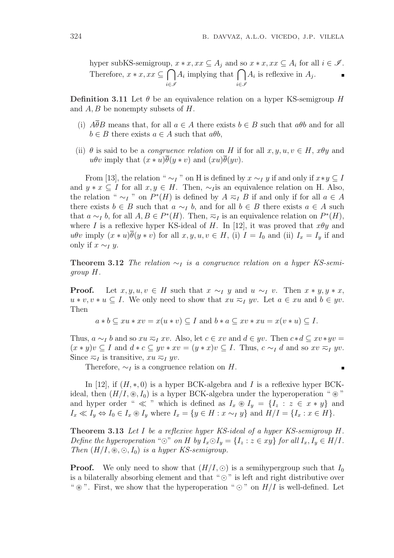hyper subKS-semigroup,  $x * x, xx \subseteq A_j$  and so  $x * x, xx \subseteq A_i$  for all  $i \in \mathcal{I}$ . Therefore,  $x * x, xx \subseteq$ i∈I  $x * x, xx \subseteq A_j$  and so<br> $A_i$  implying that  $\bigcap$ i∈I  $A_i$  is reflexive in  $A_j$ .

**Definition 3.11** Let  $\theta$  be an equivalence relation on a hyper KS-semigroup H and  $A, B$  be nonempty subsets of  $H$ .

- (i)  $A\overline{\theta}B$  means that, for all  $a \in A$  there exists  $b \in B$  such that  $a\theta b$  and for all  $b \in B$  there exists  $a \in A$  such that  $a\theta b$ ,
- (ii)  $\theta$  is said to be a *congruence relation* on H if for all  $x, y, u, v \in H$ ,  $x\theta y$  and  $u\theta v$  imply that  $(x * u)\overline{\theta}(y * v)$  and  $(xu)\overline{\theta}(yv)$ .

From [13], the relation "  $\sim_I$ " on H is defined by  $x \sim_I y$  if and only if  $x \ast y \subseteq I$ and  $y * x \subseteq I$  for all  $x, y \in H$ . Then,  $\sim I$  is an equivalence relation on H. Also, the relation "  $\sim_I$ " on  $P^*(H)$  is defined by  $A \preceq_I B$  if and only if for all  $a \in A$ there exists  $b \in B$  such that  $a \sim b$ , and for all  $b \in B$  there exists  $a \in A$  such that  $a \sim_I b$ , for all  $A, B \in P^*(H)$ . Then,  $\overline{\sim_I}$  is an equivalence relation on  $P^*(H)$ , where I is a reflexive hyper KS-ideal of H. In [12], it was proved that  $x\theta y$  and u $\theta v$  imply  $(x * u)\overline{\theta}(y * v)$  for all  $x, y, u, v \in H$ , (i)  $I = I_0$  and (ii)  $I_x = I_y$  if and only if  $x \sim_I y$ .

**Theorem 3.12** The relation  $\sim_I$  is a congruence relation on a hyper KS-semigroup H.

**Proof.** Let  $x, y, u, v \in H$  such that  $x \sim_I y$  and  $u \sim_I v$ . Then  $x * y, y * x$ ,  $u * v, v * u \subseteq I$ . We only need to show that  $xu \nightharpoonup_I yv$ . Let  $a \in xu$  and  $b \in yv$ . Then

 $a * b \subseteq xu * xv = x(u * v) \subseteq I$  and  $b * a \subseteq xv * xu = x(v * u) \subseteq I$ .

Thus,  $a \sim_I b$  and so  $xu \approx_I xv$ . Also, let  $c \in xv$  and  $d \in yv$ . Then  $c * d \subseteq xv * yv =$  $(x * y)v \subseteq I$  and  $d * c \subseteq yv * xv = (y * x)v \subseteq I$ . Thus,  $c \sim_I d$  and so  $xv \approx_I yv$ . Since  $\overline{z}_I$  is transitive,  $xu \overline{z}_I$  yv.

Therefore,  $\sim_I$  is a congruence relation on H.

In [12], if  $(H, *, 0)$  is a hyper BCK-algebra and I is a reflexive hyper BCKideal, then  $(H/I, \mathcal{B}, I_0)$  is a hyper BCK-algebra under the hyperoperation "  $\mathcal{B}$ " and hyper order "  $\ll$ " which is defined as  $I_x \otimes I_y = \{I_z : z \in x * y\}$  and  $I_x \ll I_y \Leftrightarrow I_0 \in I_x \otimes I_y$  where  $I_x = \{y \in H : x \sim_I y\}$  and  $H/I = \{I_x : x \in H\}.$ 

Theorem 3.13 Let I be a reflexive hyper KS-ideal of a hyper KS-semigroup H. Define the hyperoperation " $\odot$ " on H by  $I_x \odot I_y = \{I_z : z \in xy\}$  for all  $I_x, I_y \in H/I$ . Then  $(H/I, \mathcal{D}, \mathcal{O}, I_0)$  is a hyper KS-semigroup.

**Proof.** We only need to show that  $(H/I, \odot)$  is a semihypergroup such that  $I_0$ is a bilaterally absorbing element and that " $\odot$ " is left and right distributive over " $\mathcal{E}$ ". First, we show that the hyperoperation " $\odot$ " on  $H/I$  is well-defined. Let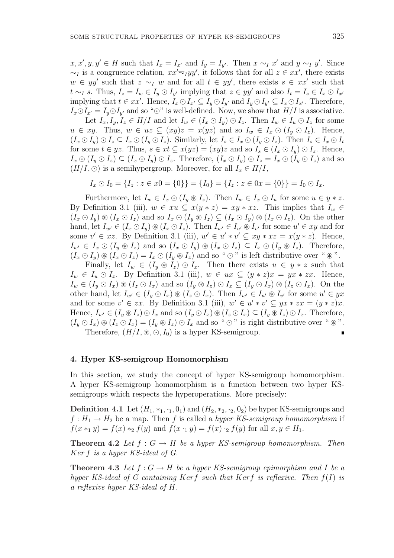$x, x', y, y' \in H$  such that  $I_x = I_{x'}$  and  $I_y = I_{y'}$ . Then  $x \sim_I x'$  and  $y \sim_I y'$ . Since  $\sim_I$  is a congruence relation,  $xx'\overline{\sim}_I yy'$ , it follows that for all  $z \in xx'$ , there exists  $w \in yy'$  such that  $z \sim_I w$  and for all  $t \in yy'$ , there exists  $s \in xx'$  such that t ∼<sub>I</sub> s. Thus,  $I_z = I_w \in I_y \odot I_{y'}$  implying that  $z \in yy'$  and also  $I_t = I_s \in I_x \odot I_{x'}$ implying that  $t \in xx'$ . Hence,  $I_x \odot I_{x'} \subseteq I_y \odot I_{y'}$  and  $I_y \odot I_{y'} \subseteq I_x \odot I_{x'}$ . Therefore,  $I_x \odot I_{x'} = I_y \odot I_{y'}$  and so " $\odot$ " is well-defined. Now, we show that  $H/I$  is associative.

Let  $I_x, I_y, I_z \in H/I$  and let  $I_w \in (I_x \odot I_y) \odot I_z$ . Then  $I_w \in I_u \odot I_z$  for some  $u \in xy$ . Thus,  $w \in uz \subseteq (xy)z = x(yz)$  and so  $I_w \in I_x \odot (I_y \odot I_z)$ . Hence,  $(I_x \odot I_y) \odot I_z \subseteq I_x \odot (I_y \odot I_z)$ . Similarly, let  $I_s \in I_x \odot (I_y \odot I_z)$ . Then  $I_s \in I_x \odot I_t$ for some  $t \in yz$ . Thus,  $s \in xt \subseteq x(yz) = (xy)z$  and so  $I_s \in (I_x \odot I_y) \odot I_z$ . Hence,  $I_x \odot (I_y \odot I_z) \subseteq (I_x \odot I_y) \odot I_z$ . Therefore,  $(I_x \odot I_y) \odot I_z = I_x \odot (I_y \odot I_z)$  and so  $(H/I, \odot)$  is a semihypergroup. Moreover, for all  $I_x \in H/I$ ,

 $I_x \odot I_0 = \{I_z : z \in x0 = \{0\}\} = \{I_0\} = \{I_z : z \in 0x = \{0\}\} = I_0 \odot I_x.$ 

Furthermore, let  $I_w \in I_x \odot (I_y \otimes I_z)$ . Then  $I_w \in I_x \odot I_u$  for some  $u \in y * z$ . By Definition 3.1 (iii),  $w \in xu \subseteq x(y * z) = xy * xz$ . This implies that  $I_w \in$  $(I_x \odot I_y) \otimes (I_x \odot I_z)$  and so  $I_x \odot (I_y \otimes I_z) \subseteq (I_x \odot I_y) \otimes (I_x \odot I_z)$ . On the other hand, let  $I_{w'} \in (I_x \odot I_y) \otimes (I_x \odot I_z)$ . Then  $I_{w'} \in I_{u'} \otimes I_{v'}$  for some  $u' \in xy$  and for some  $v' \in xz$ . By Definition 3.1 (iii),  $w' \in u' * v' \subseteq xy * xz = x(y * z)$ . Hence,  $I_{w'} \in I_x \odot (I_y \otimes I_z)$  and so  $(I_x \odot I_y) \otimes (I_x \odot I_z) \subseteq I_x \odot (I_y \otimes I_z)$ . Therefore,  $(I_x \odot I_y) \circledast (I_x \odot I_z) = I_x \odot (I_y \otimes I_z)$  and so " $\odot$ " is left distributive over " $\circledast$ ".

Finally, let  $I_w \in (I_y \otimes I_z) \odot I_x$ . Then there exists  $u \in y * z$  such that  $I_w \in I_u \odot I_x$ . By Definition 3.1 (iii),  $w \in ux \subseteq (y * z)x = yx * zx$ . Hence,  $I_w \in (I_y \odot I_x) \circledast (I_z \odot I_x)$  and so  $(I_y \circledast I_z) \odot I_x \subseteq (I_y \odot I_x) \circledast (I_z \odot I_x)$ . On the other hand, let  $I_{w'} \in (I_y \odot I_x) \otimes (I_z \odot I_x)$ . Then  $I_{w'} \in I_{u'} \otimes I_{v'}$  for some  $u' \in yx$ and for some  $v' \in zx$ . By Definition 3.1 (iii),  $w' \in u' * v' \subseteq yx * zx = (y * z)x$ . Hence,  $I_{w'} \in (I_y \otimes I_z) \odot I_x$  and so  $(I_y \odot I_x) \otimes (I_z \odot I_x) \subseteq (I_y \otimes I_z) \odot I_x$ . Therefore,  $(I_u \odot I_x) \circledast (I_z \odot I_x) = (I_u \circledast I_z) \odot I_x$  and so " $\odot$ " is right distributive over " $\circledast$ ". Therefore,  $(H/I, \mathcal{B}, \bigcirc, I_0)$  is a hyper KS-semigroup.

## 4. Hyper KS-semigroup Homomorphism

In this section, we study the concept of hyper KS-semigroup homomorphism. A hyper KS-semigroup homomorphism is a function between two hyper KSsemigroups which respects the hyperoperations. More precisely:

**Definition 4.1** Let  $(H_1, *_1, \cdot_1, 0_1)$  and  $(H_2, *_2, \cdot_2, 0_2)$  be hyper KS-semigroups and  $f: H_1 \to H_2$  be a map. Then f is called a hyper KS-semigroup homomorphism if  $f(x *_{1} y) = f(x) *_{2} f(y)$  and  $f(x \cdot_{1} y) = f(x) \cdot_{2} f(y)$  for all  $x, y \in H_{1}$ .

**Theorem 4.2** Let  $f: G \to H$  be a hyper KS-semigroup homomorphism. Then Ker f is a hyper KS-ideal of G.

**Theorem 4.3** Let  $f: G \to H$  be a hyper KS-semigroup epimorphism and I be a hyper KS-ideal of G containing Kerf such that Kerf is reflexive. Then  $f(I)$  is a reflexive hyper KS-ideal of H.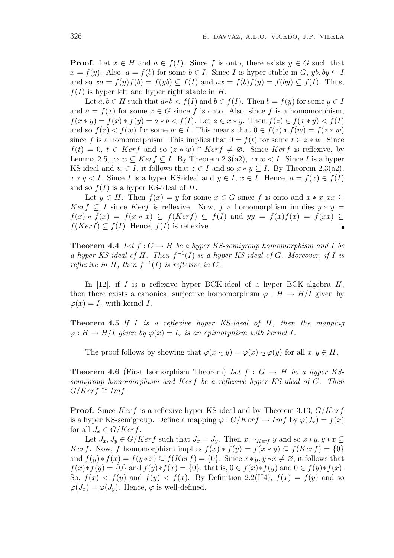**Proof.** Let  $x \in H$  and  $a \in f(I)$ . Since f is onto, there exists  $y \in G$  such that  $x = f(y)$ . Also,  $a = f(b)$  for some  $b \in I$ . Since I is hyper stable in G,  $yb, by \subseteq I$ and so  $xa = f(y)f(b) = f(yb) \subseteq f(I)$  and  $ax = f(b)f(y) = f(by) \subseteq f(I)$ . Thus,  $f(I)$  is hyper left and hyper right stable in H.

Let  $a, b \in H$  such that  $a * b < f(I)$  and  $b \in f(I)$ . Then  $b = f(y)$  for some  $y \in I$ and  $a = f(x)$  for some  $x \in G$  since f is onto. Also, since f is a homomorphism,  $f(x * y) = f(x) * f(y) = a * b < f(I)$ . Let  $z \in x * y$ . Then  $f(z) \in f(x * y) < f(I)$ and so  $f(z) < f(w)$  for some  $w \in I$ . This means that  $0 \in f(z) * f(w) = f(z * w)$ since f is a homomorphism. This implies that  $0 = f(t)$  for some  $t \in z * w$ . Since  $f(t) = 0, t \in Ker f$  and so  $(z * w) \cap Ker f \neq \emptyset$ . Since Kerf is reflexive, by Lemma 2.5,  $z * w \subseteq Ker f \subseteq I$ . By Theorem 2.3(a2),  $z * w \leq I$ . Since I is a hyper KS-ideal and  $w \in I$ , it follows that  $z \in I$  and so  $x * y \subseteq I$ . By Theorem 2.3(a2),  $x * y < I$ . Since I is a hyper KS-ideal and  $y \in I$ ,  $x \in I$ . Hence,  $a = f(x) \in f(I)$ and so  $f(I)$  is a hyper KS-ideal of H.

Let  $y \in H$ . Then  $f(x) = y$  for some  $x \in G$  since f is onto and  $x * x$ ,  $xx \subseteq$ *Kerf*  $\subseteq$  *I* since *Kerf* is reflexive. Now, *f* a homomorphism implies  $y * y =$  $f(x) * f(x) = f(x * x) \subseteq f(Ker f) \subseteq f(I)$  and  $yy = f(x)f(x) = f(xx) \subseteq$  $f(Ker f) \subseteq f(I)$ . Hence,  $f(I)$  is reflexive.  $\blacksquare$ 

**Theorem 4.4** Let  $f: G \to H$  be a hyper KS-semigroup homomorphism and I be a hyper KS-ideal of H. Then  $f^{-1}(I)$  is a hyper KS-ideal of G. Moreover, if I is reflexive in H, then  $f^{-1}(I)$  is reflexive in G.

In [12], if I is a reflexive hyper BCK-ideal of a hyper BCK-algebra  $H$ , then there exists a canonical surjective homomorphism  $\varphi : H \to H/I$  given by  $\varphi(x) = I_x$  with kernel I.

Theorem 4.5 If I is a reflexive hyper KS-ideal of H, then the mapping  $\varphi: H \to H/I$  given by  $\varphi(x) = I_x$  is an epimorphism with kernel I.

The proof follows by showing that  $\varphi(x \cdot_1 y) = \varphi(x) \cdot_2 \varphi(y)$  for all  $x, y \in H$ .

**Theorem 4.6** (First Isomorphism Theorem) Let  $f : G \rightarrow H$  be a hyper KSsemigroup homomorphism and Kerf be a reflexive hyper KS-ideal of G. Then  $G/Ker f \cong Im f$ .

**Proof.** Since Kerf is a reflexive hyper KS-ideal and by Theorem 3.13,  $G/Kerf$ is a hyper KS-semigroup. Define a mapping  $\varphi: G/Ker f \to Im f$  by  $\varphi(J_x) = f(x)$ for all  $J_x \in G/Kerf$ .

Let  $J_x, J_y \in G/Kerf$  such that  $J_x = J_y$ . Then  $x \sim_{Kerf} y$  and so  $x * y, y * x \subseteq$ Kerf. Now, f homomorphism implies  $f(x) * f(y) = f(x * y) \subseteq f(Kerf) = \{0\}$ and  $f(y) * f(x) = f(y * x) \subseteq f(Ker f) = \{0\}$ . Since  $x * y, y * x \neq \emptyset$ , it follows that  $f(x)*f(y) = \{0\}$  and  $f(y)*f(x) = \{0\}$ , that is,  $0 \in f(x)*f(y)$  and  $0 \in f(y)*f(x)$ . So,  $f(x) < f(y)$  and  $f(y) < f(x)$ . By Definition 2.2(H4),  $f(x) = f(y)$  and so  $\varphi(J_x) = \varphi(J_y)$ . Hence,  $\varphi$  is well-defined.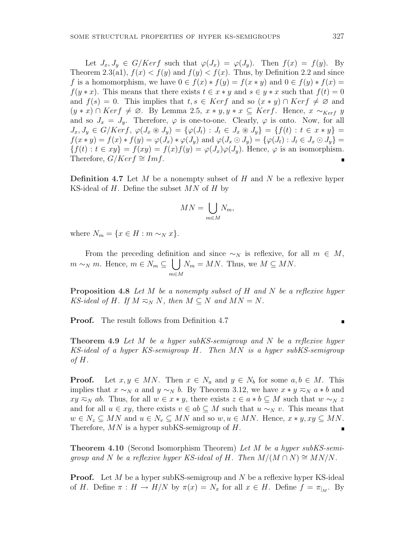Let  $J_x, J_y \in G/Ker f$  such that  $\varphi(J_x) = \varphi(J_y)$ . Then  $f(x) = f(y)$ . By Theorem 2.3(a1),  $f(x) < f(y)$  and  $f(y) < f(x)$ . Thus, by Definition 2.2 and since f is a homomorphism, we have  $0 \in f(x) * f(y) = f(x * y)$  and  $0 \in f(y) * f(x) =$  $f(y * x)$ . This means that there exists  $t \in x * y$  and  $s \in y * x$  such that  $f(t) = 0$ and  $f(s) = 0$ . This implies that  $t, s \in \text{Ker } f$  and so  $(x * y) \cap \text{Ker } f \neq \emptyset$  and  $(y * x) \cap Ker f \neq \emptyset$ . By Lemma 2.5,  $x * y, y * x \subseteq Ker f$ . Hence,  $x \sim_{Ker f} y$ and so  $J_x = J_y$ . Therefore,  $\varphi$  is one-to-one. Clearly,  $\varphi$  is onto. Now, for all  $J_x, J_y \in G/Kerf, \varphi(J_x \otimes J_y) = {\varphi(J_t) : J_t \in J_x \otimes J_y} = {f(t) : t \in x * y}$  $f(x * y) = f(x) * f(y) = \varphi(J_x) * \varphi(J_y)$  and  $\varphi(J_x \odot J_y) = {\varphi(J_t) : J_t \in J_x \odot J_y}$  ${f(t): t \in xy} = f(xy) = f(x)f(y) = \varphi(J_x)\varphi(J_y)$ . Hence,  $\varphi$  is an isomorphism. Therefore,  $G/Ker f \cong Imf$ .

**Definition 4.7** Let  $M$  be a nonempty subset of  $H$  and  $N$  be a reflexive hyper KS-ideal of  $H$ . Define the subset  $MN$  of  $H$  by

$$
MN = \bigcup_{m \in M} N_m,
$$

where  $N_m = \{x \in H : m \sim_N x\}.$ 

From the preceding definition and since  $\sim_N$  is reflexive, for all  $m \in M$ ,  $m \sim_N m$ . Hence,  $m \in N_m \subseteq$ m∈M  $N_m = MN$ . Thus, we  $M \subseteq MN$ .

Proposition 4.8 Let M be a nonempty subset of H and N be a reflexive hyper KS-ideal of H. If  $M \nightharpoonup_N N$ , then  $M \subseteq N$  and  $MN = N$ .

Proof. The result follows from Definition 4.7

**Theorem 4.9** Let M be a hyper subKS-semigroup and N be a reflexive hyper KS-ideal of a hyper KS-semigroup H. Then MN is a hyper subKS-semigroup of  $H$ .

**Proof.** Let  $x, y \in MN$ . Then  $x \in N_a$  and  $y \in N_b$  for some  $a, b \in M$ . This implies that  $x \sim_N a$  and  $y \sim_N b$ . By Theorem 3.12, we have  $x * y \approx_N a * b$  and  $xy \nightharpoonup_N ab$ . Thus, for all  $w \in x * y$ , there exists  $z \in a * b \subseteq M$  such that  $w \sim_N z$ and for all  $u \in xy$ , there exists  $v \in ab \subseteq M$  such that  $u \sim_N v$ . This means that  $w \in N_z \subseteq MN$  and  $u \in N_v \subseteq MN$  and so  $w, u \in MN$ . Hence,  $x * y, xy \subseteq MN$ . Therefore,  $MN$  is a hyper subKS-semigroup of  $H$ .  $\blacksquare$ 

Theorem 4.10 (Second Isomorphism Theorem) Let M be a hyper subKS-semigroup and N be a reflexive hyper KS-ideal of H. Then  $M/(M \cap N) \cong M N/N$ .

**Proof.** Let M be a hyper subKS-semigroup and N be a reflexive hyper KS-ideal of H. Define  $\pi : H \to H/N$  by  $\pi(x) = N_x$  for all  $x \in H$ . Define  $f = \pi_{|_M}$ . By

$$
\qquad \qquad \blacksquare
$$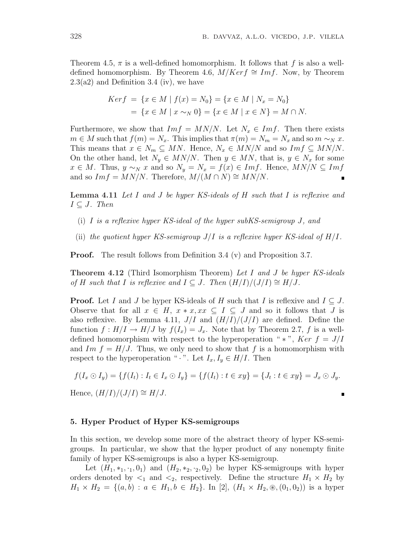Theorem 4.5,  $\pi$  is a well-defined homomorphism. It follows that f is also a welldefined homomorphism. By Theorem 4.6,  $M/Ker f \cong Im f$ . Now, by Theorem  $2.3(a2)$  and Definition 3.4 (iv), we have

$$
Ker f = \{x \in M \mid f(x) = N_0\} = \{x \in M \mid N_x = N_0\}
$$
  
=  $\{x \in M \mid x \sim_N 0\} = \{x \in M \mid x \in N\} = M \cap N.$ 

Furthermore, we show that  $Im f = MN/N$ . Let  $N_x \in Im f$ . Then there exists  $m \in M$  such that  $f(m) = N_x$ . This implies that  $\pi(m) = N_m = N_x$  and so  $m \sim_N x$ . This means that  $x \in N_m \subseteq MN$ . Hence,  $N_x \in MN/N$  and so  $Im f \subseteq MN/N$ . On the other hand, let  $N_y \in MN/N$ . Then  $y \in MN$ , that is,  $y \in N_x$  for some  $x \in M$ . Thus,  $y \sim_N x$  and so  $N_y = N_x = f(x) \in Imf$ . Hence,  $MN/N \subseteq Imf$ and so  $Im f = MN/N$ . Therefore,  $M/(M \cap N) \cong MN/N$ .

Lemma 4.11 Let I and J be hyper KS-ideals of H such that I is reflexive and  $I \subseteq J$ . Then

- (i) I is a reflexive hyper KS-ideal of the hyper subKS-semigroup J, and
- (ii) the quotient hyper KS-semigroup  $J/I$  is a reflexive hyper KS-ideal of  $H/I$ .

**Proof.** The result follows from Definition 3.4 (v) and Proposition 3.7.

**Theorem 4.12** (Third Isomorphism Theorem) Let I and J be hyper KS-ideals of H such that I is reflexive and  $I \subseteq J$ . Then  $(H/I)/(J/I) \cong H/J$ .

**Proof.** Let I and J be hyper KS-ideals of H such that I is reflexive and  $I \subseteq J$ . Observe that for all  $x \in H$ ,  $x * x$ ,  $xx \subseteq I \subseteq J$  and so it follows that J is also reflexive. By Lemma 4.11,  $J/I$  and  $(H/I)/(J/I)$  are defined. Define the function  $f: H/I \to H/J$  by  $f(I_x) = J_x$ . Note that by Theorem 2.7, f is a welldefined homomorphism with respect to the hyperoperation " \* ", Ker  $f = J/I$ and Im  $f = H/J$ . Thus, we only need to show that f is a homomorphism with respect to the hyperoperation " $\cdot$ ". Let  $I_x, I_y \in H/I$ . Then

$$
f(I_x \odot I_y) = \{f(I_t) : I_t \in I_x \odot I_y\} = \{f(I_t) : t \in xy\} = \{J_t : t \in xy\} = J_x \odot J_y.
$$

Ė

Hence,  $(H/I)/(J/I) \cong H/J$ .

#### 5. Hyper Product of Hyper KS-semigroups

In this section, we develop some more of the abstract theory of hyper KS-semigroups. In particular, we show that the hyper product of any nonempty finite family of hyper KS-semigroups is also a hyper KS-semigroup.

Let  $(H_1, *_1, *_1, 0_1)$  and  $(H_2, *_2, *_2, 0_2)$  be hyper KS-semigroups with hyper orders denoted by  $\leq_1$  and  $\leq_2$ , respectively. Define the structure  $H_1 \times H_2$  by  $H_1 \times H_2 = \{(a, b) : a \in H_1, b \in H_2\}.$  In [2],  $(H_1 \times H_2, \mathcal{B}, (0_1, 0_2))$  is a hyper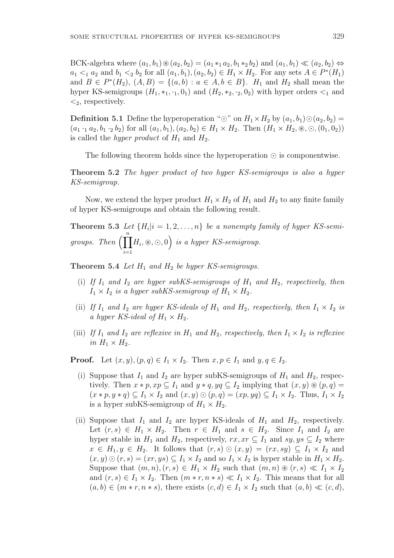BCK-algebra where  $(a_1, b_1) \otimes (a_2, b_2) = (a_1 * a_2, b_1 * a_2, b_2)$  and  $(a_1, b_1) \ll (a_2, b_2) \Leftrightarrow$  $a_1 <_1 a_2$  and  $b_1 <_2 b_2$  for all  $(a_1, b_1), (a_2, b_2) \in H_1 \times H_2$ . For any sets  $A \in P^*(H_1)$ and  $B \in P^*(H_2)$ ,  $(A, B) = \{(a, b) : a \in A, b \in B\}$ .  $H_1$  and  $H_2$  shall mean the hyper KS-semigroups  $(H_1, *_1, \cdot_1, 0_1)$  and  $(H_2, *_2, \cdot_2, 0_2)$  with hyper orders  $\lt_1$  and  $\langle 2,$  respectively.

**Definition 5.1** Define the hyperoperation " $\odot$ " on  $H_1 \times H_2$  by  $(a_1, b_1) \odot (a_2, b_2) =$  $(a_1 \cdot_1 a_2, b_1 \cdot_2 b_2)$  for all  $(a_1, b_1), (a_2, b_2) \in H_1 \times H_2$ . Then  $(H_1 \times H_2, \mathcal{D}, \odot, (0_1, 0_2))$ is called the *hyper product* of  $H_1$  and  $H_2$ .

The following theorem holds since the hyperoperation  $\odot$  is componentwise.

Theorem 5.2 The hyper product of two hyper KS-semigroups is also a hyper KS-semigroup.

Now, we extend the hyper product  $H_1 \times H_2$  of  $H_1$  and  $H_2$  to any finite family of hyper KS-semigroups and obtain the following result.

**Theorem 5.3** Let  $\{H_i | i = 1, 2, ..., n\}$  be a nonempty family of hyper KS-semigroups. Then  $\prod^n$  $i=1$  $H_i, \mathcal{D}, \odot, 0$  $\mathbf{r}^{\prime}$ is a hyper KS-semigroup.

**Theorem 5.4** Let  $H_1$  and  $H_2$  be hyper KS-semigroups.

- (i) If  $I_1$  and  $I_2$  are hyper subKS-semigroups of  $H_1$  and  $H_2$ , respectively, then  $I_1 \times I_2$  is a hyper subKS-semigroup of  $H_1 \times H_2$ .
- (ii) If  $I_1$  and  $I_2$  are hyper KS-ideals of  $H_1$  and  $H_2$ , respectively, then  $I_1 \times I_2$  is a hyper KS-ideal of  $H_1 \times H_2$ .
- (iii) If  $I_1$  and  $I_2$  are reflexive in  $H_1$  and  $H_2$ , respectively, then  $I_1 \times I_2$  is reflexive in  $H_1 \times H_2$ .

**Proof.** Let  $(x, y)$ ,  $(p, q) \in I_1 \times I_2$ . Then  $x, p \in I_1$  and  $y, q \in I_2$ .

- (i) Suppose that  $I_1$  and  $I_2$  are hyper subKS-semigroups of  $H_1$  and  $H_2$ , respectively. Then  $x * p$ ,  $xp \subseteq I_1$  and  $y * q$ ,  $yq \subseteq I_2$  implying that  $(x, y) \otimes (p, q) =$  $(x * p, y * q) \subseteq I_1 \times I_2$  and  $(x, y) \odot (p, q) = (xp, yq) \subseteq I_1 \times I_2$ . Thus,  $I_1 \times I_2$ is a hyper subKS-semigroup of  $H_1 \times H_2$ .
- (ii) Suppose that  $I_1$  and  $I_2$  are hyper KS-ideals of  $H_1$  and  $H_2$ , respectively. Let  $(r, s) \in H_1 \times H_2$ . Then  $r \in H_1$  and  $s \in H_2$ . Since  $I_1$  and  $I_2$  are hyper stable in  $H_1$  and  $H_2$ , respectively,  $rx, xr \subseteq I_1$  and  $sy, ys \subseteq I_2$  where  $x \in H_1, y \in H_2$ . It follows that  $(r, s) \odot (x, y) = (rx, sy) \subseteq I_1 \times I_2$  and  $(x, y) \odot (r, s) = (xr, ys) \subseteq I_1 \times I_2$  and so  $I_1 \times I_2$  is hyper stable in  $H_1 \times H_2$ . Suppose that  $(m, n), (r, s) \in H_1 \times H_2$  such that  $(m, n) \otimes (r, s) \ll I_1 \times I_2$ and  $(r, s) \in I_1 \times I_2$ . Then  $(m * r, n * s) \ll I_1 \times I_2$ . This means that for all  $(a, b) \in (m * r, n * s)$ , there exists  $(c, d) \in I_1 \times I_2$  such that  $(a, b) \ll (c, d)$ ,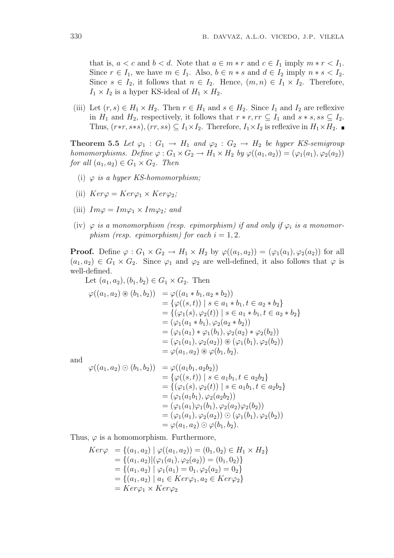that is,  $a < c$  and  $b < d$ . Note that  $a \in m * r$  and  $c \in I_1$  imply  $m * r < I_1$ . Since  $r \in I_1$ , we have  $m \in I_1$ . Also,  $b \in n * s$  and  $d \in I_2$  imply  $n * s < I_2$ . Since  $s \in I_2$ , it follows that  $n \in I_2$ . Hence,  $(m, n) \in I_1 \times I_2$ . Therefore,  $I_1 \times I_2$  is a hyper KS-ideal of  $H_1 \times H_2$ .

(iii) Let  $(r, s) \in H_1 \times H_2$ . Then  $r \in H_1$  and  $s \in H_2$ . Since  $I_1$  and  $I_2$  are reflexive in  $H_1$  and  $H_2$ , respectively, it follows that  $r * r$ ,  $rr \subseteq I_1$  and  $s * s$ ,  $ss \subseteq I_2$ . Thus,  $(r*r, s*s)$ ,  $(rr, ss) \subseteq I_1 \times I_2$ . Therefore,  $I_1 \times I_2$  is reflexive in  $H_1 \times H_2$ .

**Theorem 5.5** Let  $\varphi_1 : G_1 \to H_1$  and  $\varphi_2 : G_2 \to H_2$  be hyper KS-semigroup homomorphisms. Define  $\varphi: G_1 \times G_2 \to H_1 \times H_2$  by  $\varphi((a_1, a_2)) = (\varphi_1(a_1), \varphi_2(a_2))$ for all  $(a_1, a_2) \in G_1 \times G_2$ . Then

- (i)  $\varphi$  is a hyper KS-homomorphism;
- (ii)  $Ker\varphi = Ker\varphi_1 \times Ker\varphi_2$ ;
- (iii)  $Im\varphi = Im\varphi_1 \times Im\varphi_2$ ; and
- (iv)  $\varphi$  is a monomorphism (resp. epimorphism) if and only if  $\varphi_i$  is a monomorphism (resp. epimorphism) for each  $i = 1, 2$ .

**Proof.** Define  $\varphi: G_1 \times G_2 \to H_1 \times H_2$  by  $\varphi((a_1, a_2)) = (\varphi_1(a_1), \varphi_2(a_2))$  for all  $(a_1, a_2) \in G_1 \times G_2$ . Since  $\varphi_1$  and  $\varphi_2$  are well-defined, it also follows that  $\varphi$  is well-defined.

Let  $(a_1, a_2), (b_1, b_2) \in G_1 \times G_2$ . Then  $\varphi((a_1, a_2) \circledast (b_1, b_2)) = \varphi((a_1 * b_1, a_2 * b_2))$  $=\{\varphi((s,t)) \mid s \in a_1 * b_1, t \in a_2 * b_2\}$  $=\{(\varphi_1(s), \varphi_2(t)) \mid s \in a_1 * b_1, t \in a_2 * b_2\}$  $= (\varphi_1(a_1 * b_1), \varphi_2(a_2 * b_2))$  $= (\varphi_1(a_1) * \varphi_1(b_1), \varphi_2(a_2) * \varphi_2(b_2))$  $=(\varphi_1(a_1), \varphi_2(a_2)) \circledast (\varphi_1(b_1), \varphi_2(b_2))$  $=\varphi(a_1, a_2) \circledast \varphi(b_1, b_2).$ 

and

$$
\varphi((a_1, a_2) \odot (b_1, b_2)) = \varphi((a_1b_1, a_2b_2))
$$
  
\n
$$
= \{\varphi((s, t)) \mid s \in a_1b_1, t \in a_2b_2\}
$$
  
\n
$$
= \{(\varphi_1(s), \varphi_2(t)) \mid s \in a_1b_1, t \in a_2b_2\}
$$
  
\n
$$
= (\varphi_1(a_1b_1), \varphi_2(a_2b_2))
$$
  
\n
$$
= (\varphi_1(a_1)\varphi_1(b_1), \varphi_2(a_2)\varphi_2(b_2))
$$
  
\n
$$
= (\varphi_1(a_1), \varphi_2(a_2)) \odot (\varphi_1(b_1), \varphi_2(b_2))
$$
  
\n
$$
= \varphi(a_1, a_2) \odot \varphi(b_1, b_2).
$$

Thus,  $\varphi$  is a homomorphism. Furthermore,

$$
Ker\varphi = \{(a_1, a_2) \mid \varphi((a_1, a_2)) = (0_1, 0_2) \in H_1 \times H_2\}
$$
  
=  $\{(a_1, a_2) \mid (\varphi_1(a_1), \varphi_2(a_2)) = (0_1, 0_2)\}$   
=  $\{(a_1, a_2) \mid \varphi_1(a_1) = 0_1, \varphi_2(a_2) = 0_2\}$   
=  $\{(a_1, a_2) \mid a_1 \in Ker\varphi_1, a_2 \in Ker\varphi_2\}$   
=  $Ker\varphi_1 \times Ker\varphi_2$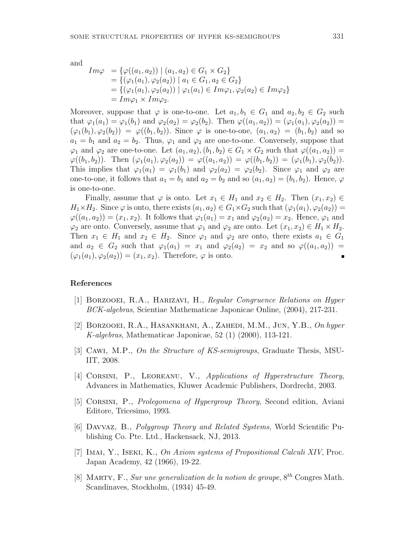and

$$
Im\varphi = \{ \varphi((a_1, a_2)) \mid (a_1, a_2) \in G_1 \times G_2 \}
$$
  
=  $\{ (\varphi_1(a_1), \varphi_2(a_2)) \mid a_1 \in G_1, a_2 \in G_2 \}$   
=  $\{ (\varphi_1(a_1), \varphi_2(a_2)) \mid \varphi_1(a_1) \in Im\varphi_1, \varphi_2(a_2) \in Im\varphi_2 \}$   
=  $Im\varphi_1 \times Im\varphi_2$ .

Moreover, suppose that  $\varphi$  is one-to-one. Let  $a_1, b_1 \in G_1$  and  $a_2, b_2 \in G_2$  such that  $\varphi_1(a_1) = \varphi_1(b_1)$  and  $\varphi_2(a_2) = \varphi_2(b_2)$ . Then  $\varphi((a_1, a_2)) = (\varphi_1(a_1), \varphi_2(a_2)) =$  $(\varphi_1(b_1), \varphi_2(b_2)) = \varphi((b_1, b_2))$ . Since  $\varphi$  is one-to-one,  $(a_1, a_2) = (b_1, b_2)$  and so  $a_1 = b_1$  and  $a_2 = b_2$ . Thus,  $\varphi_1$  and  $\varphi_2$  are one-to-one. Conversely, suppose that  $\varphi_1$  and  $\varphi_2$  are one-to-one. Let  $(a_1, a_2), (b_1, b_2) \in G_1 \times G_2$  such that  $\varphi((a_1, a_2)) =$  $\varphi((b_1, b_2))$ . Then  $(\varphi_1(a_1), \varphi_2(a_2)) = \varphi((a_1, a_2)) = \varphi((b_1, b_2)) = (\varphi_1(b_1), \varphi_2(b_2))$ . This implies that  $\varphi_1(a_1) = \varphi_1(b_1)$  and  $\varphi_2(a_2) = \varphi_2(b_2)$ . Since  $\varphi_1$  and  $\varphi_2$  are one-to-one, it follows that  $a_1 = b_1$  and  $a_2 = b_2$  and so  $(a_1, a_2) = (b_1, b_2)$ . Hence,  $\varphi$ is one-to-one.

Finally, assume that  $\varphi$  is onto. Let  $x_1 \in H_1$  and  $x_2 \in H_2$ . Then  $(x_1, x_2) \in$  $H_1\times H_2$ . Since  $\varphi$  is onto, there exists  $(a_1, a_2) \in G_1 \times G_2$  such that  $(\varphi_1(a_1), \varphi_2(a_2)) =$  $\varphi((a_1, a_2)) = (x_1, x_2)$ . It follows that  $\varphi_1(a_1) = x_1$  and  $\varphi_2(a_2) = x_2$ . Hence,  $\varphi_1$  and  $\varphi_2$  are onto. Conversely, assume that  $\varphi_1$  and  $\varphi_2$  are onto. Let  $(x_1, x_2) \in H_1 \times H_2$ . Then  $x_1 \in H_1$  and  $x_2 \in H_2$ . Since  $\varphi_1$  and  $\varphi_2$  are onto, there exists  $a_1 \in G_1$ and  $a_2 \in G_2$  such that  $\varphi_1(a_1) = x_1$  and  $\varphi_2(a_2) = x_2$  and so  $\varphi((a_1, a_2)) =$  $(\varphi_1(a_1), \varphi_2(a_2)) = (x_1, x_2)$ . Therefore,  $\varphi$  is onto.

## References

- [1] Borzooei, R.A., Harizavi, H., Regular Congruence Relations on Hyper BCK-algebras, Scientiae Mathematicae Japonicae Online, (2004), 217-231.
- [2] BORZOOEI, R.A., HASANKHANI, A., ZAHEDI, M.M., JUN, Y.B., On hyper K-algebras, Mathematicae Japonicae, 52 (1) (2000), 113-121.
- [3] CAWI, M.P., On the Structure of KS-semigroups, Graduate Thesis, MSU-IIT, 2008.
- [4] CORSINI, P., LEOREANU, V., Applications of Hyperstructure Theory, Advances in Mathematics, Kluwer Academic Publishers, Dordrecht, 2003.
- [5] CORSINI, P., *Prolegomena of Hypergroup Theory*, Second edition, Aviani Editore, Tricesimo, 1993.
- [6] Davvaz, B., Polygroup Theory and Related Systems, World Scientific Publishing Co. Pte. Ltd., Hackensack, NJ, 2013.
- [7] IMAI, Y., ISEKI, K., On Axiom systems of Propositional Calculi XIV, Proc. Japan Academy, 42 (1966), 19-22.
- [8] MARTY, F., Sur une generalization de la notion de groupe,  $8^{th}$  Congres Math. Scandinaves, Stockholm, (1934) 45-49.